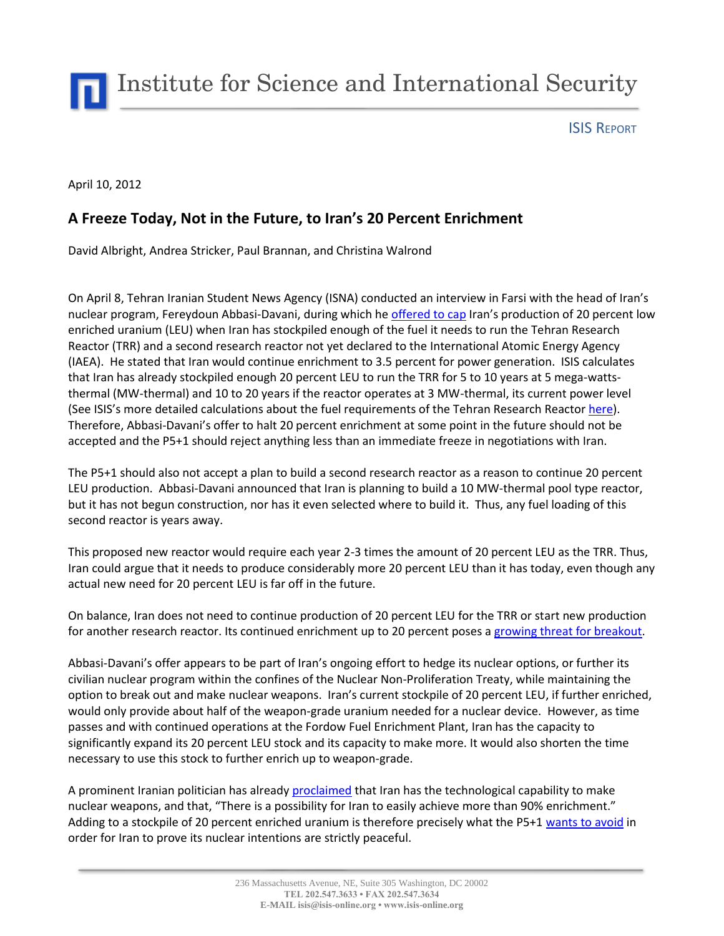Institute for Science and International Security

ISIS REPORT

April 10, 2012

## **A Freeze Today, Not in the Future, to Iran's 20 Percent Enrichment**

David Albright, Andrea Stricker, Paul Brannan, and Christina Walrond

On April 8, Tehran Iranian Student News Agency (ISNA) conducted an interview in Farsi with the head of Iran's nuclear program, Fereydoun Abbasi-Davani, during which he [offered to cap](http://www.google.com/hostednews/ap/article/ALeqM5hVbIhswqpjNcw4Ac5ZfOm5fbNcfg?docId=bf53ecc32f5d4d7bb821b71ce770696c) Iran's production of 20 percent low enriched uranium (LEU) when Iran has stockpiled enough of the fuel it needs to run the Tehran Research Reactor (TRR) and a second research reactor not yet declared to the International Atomic Energy Agency (IAEA). He stated that Iran would continue enrichment to 3.5 percent for power generation. ISIS calculates that Iran has already stockpiled enough 20 percent LEU to run the TRR for 5 to 10 years at 5 mega-wattsthermal (MW-thermal) and 10 to 20 years if the reactor operates at 3 MW-thermal, its current power level (See ISIS's more detailed calculations about the fuel requirements of the Tehran Research Reactor [here\)](http://www.isisnucleariran.org/static/444/). Therefore, Abbasi-Davani's offer to halt 20 percent enrichment at some point in the future should not be accepted and the P5+1 should reject anything less than an immediate freeze in negotiations with Iran.

The P5+1 should also not accept a plan to build a second research reactor as a reason to continue 20 percent LEU production. Abbasi-Davani announced that Iran is planning to build a 10 MW-thermal pool type reactor, but it has not begun construction, nor has it even selected where to build it. Thus, any fuel loading of this second reactor is years away.

This proposed new reactor would require each year 2-3 times the amount of 20 percent LEU as the TRR. Thus, Iran could argue that it needs to produce considerably more 20 percent LEU than it has today, even though any actual new need for 20 percent LEU is far off in the future.

On balance, Iran does not need to continue production of 20 percent LEU for the TRR or start new production for another research reactor. Its continued enrichment up to 20 percent poses a [growing threat for breakout.](http://isis-online.org/isis-reports/detail/determining-the-purpose-of-irans-growing-stock-of-19.75-percent-enriched-ur/)

Abbasi-Davani's offer appears to be part of Iran's ongoing effort to hedge its nuclear options, or further its civilian nuclear program within the confines of the Nuclear Non-Proliferation Treaty, while maintaining the option to break out and make nuclear weapons. Iran's current stockpile of 20 percent LEU, if further enriched, would only provide about half of the weapon-grade uranium needed for a nuclear device. However, as time passes and with continued operations at the Fordow Fuel Enrichment Plant, Iran has the capacity to significantly expand its 20 percent LEU stock and its capacity to make more. It would also shorten the time necessary to use this stock to further enrich up to weapon-grade.

A prominent Iranian politician has already [proclaimed](http://www.guardian.co.uk/world/2012/apr/07/iran-can-produce-nuclear-weapons-politician?newsfeed=true) that Iran has the technological capability to make nuclear weapons, and that, "There is a possibility for Iran to easily achieve more than 90% enrichment." Adding to a stockpile of 20 percent enriched uranium is therefore precisely what the P5+1 [wants to avoid](http://www.nytimes.com/2012/04/08/world/middleeast/us-defines-its-demands-for-new-round-of-talks-with-iran.html) in order for Iran to prove its nuclear intentions are strictly peaceful.